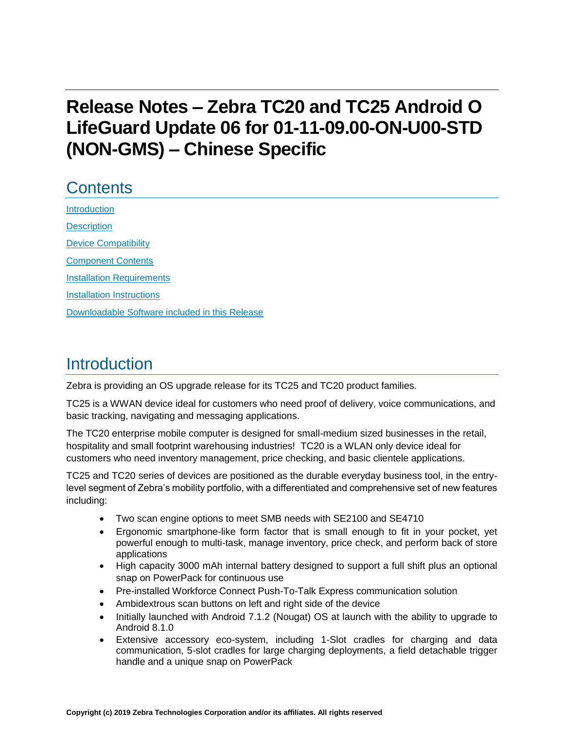# **Release Notes – Zebra TC20 and TC25 Android O LifeGuard Update 06 for 01-11-09.00-ON-U00-STD (NON-GMS) – Chinese Specific**

## **Contents**

[Introduction](#page-0-0) **[Description](#page-0-0)** [Device Compatibility](#page-3-0) [Component Contents](#page-3-1) [Installation Requirements](#page-5-0) [Installation Instructions](#page-5-1) [Downloadable Software included in this Release](#page-7-0) 

## <span id="page-0-0"></span>Introduction

Zebra is providing an OS upgrade release for its TC25 and TC20 product families.

TC25 is a WWAN device ideal for customers who need proof of delivery, voice communications, and basic tracking, navigating and messaging applications.

The TC20 enterprise mobile computer is designed for small-medium sized businesses in the retail, hospitality and small footprint warehousing industries! TC20 is a WLAN only device ideal for customers who need inventory management, price checking, and basic clientele applications.

TC25 and TC20 series of devices are positioned as the durable everyday business tool, in the entrylevel segment of Zebra's mobility portfolio, with a differentiated and comprehensive set of new features including:

- Two scan engine options to meet SMB needs with SE2100 and SE4710
- Ergonomic smartphone-like form factor that is small enough to fit in your pocket, yet powerful enough to multi-task, manage inventory, price check, and perform back of store applications
- High capacity 3000 mAh internal battery designed to support a full shift plus an optional snap on PowerPack for continuous use
- Pre-installed Workforce Connect Push-To-Talk Express communication solution
- Ambidextrous scan buttons on left and right side of the device
- Initially launched with Android 7.1.2 (Nougat) OS at launch with the ability to upgrade to Android 8.1.0
- Extensive accessory eco-system, including 1-Slot cradles for charging and data communication, 5-slot cradles for large charging deployments, a field detachable trigger handle and a unique snap on PowerPack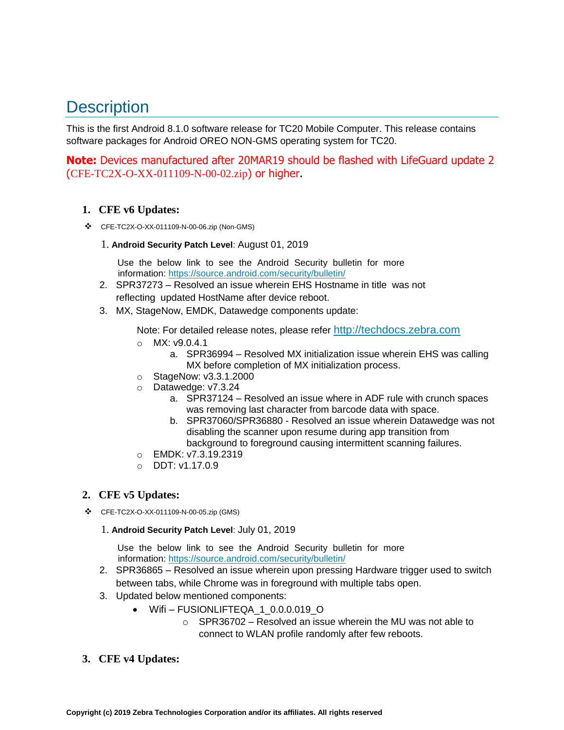## **Description**

This is the first Android 8.1.0 software release for TC20 Mobile Computer. This release contains software packages for Android OREO NON-GMS operating system for TC20.

**Note:** Devices manufactured after 20MAR19 should be flashed with LifeGuard update 2 (CFE-TC2X-O-XX-011109-N-00-02.zip) or higher.

#### **1. CFE v6 Updates:**

- ❖ CFE-TC2X-O-XX-011109-N-00-06.zip (Non-GMS)
	- 1. **Android Security Patch Level**: August 01, 2019

Use the below link to see the Android Security bulletin for more information:<https://source.android.com/security/bulletin/>

- 2. SPR37273 Resolved an issue wherein EHS Hostname in title was not reflecting updated HostName after device reboot.
- 3. MX, StageNow, EMDK, Datawedge components update:

Note: For detailed release notes, please refer [http://techdocs.zebra.com](http://techdocs.zebra.com/)

- $\circ$  MX: v9.0.4.1
	- a. SPR36994 Resolved MX initialization issue wherein EHS was calling MX before completion of MX initialization process.
- o StageNow: v3.3.1.2000
- o Datawedge: v7.3.24
	- a. SPR37124 Resolved an issue where in ADF rule with crunch spaces was removing last character from barcode data with space.
	- b. SPR37060/SPR36880 Resolved an issue wherein Datawedge was not disabling the scanner upon resume during app transition from background to foreground causing intermittent scanning failures.
- o EMDK: v7.3.19.2319
- $O$  DDT: v1.17.0.9

### **2. CFE v5 Updates:**

- ❖ CFE-TC2X-O-XX-011109-N-00-05.zip (GMS)
	- 1. **Android Security Patch Level**: July 01, 2019

Use the below link to see the Android Security bulletin for more information:<https://source.android.com/security/bulletin/>

- 2. SPR36865 Resolved an issue wherein upon pressing Hardware trigger used to switch between tabs, while Chrome was in foreground with multiple tabs open.
- 3. Updated below mentioned components:
	- Wifi FUSIONLIFTEQA 1 0.0.0.019 O
		- o SPR36702 Resolved an issue wherein the MU was not able to connect to WLAN profile randomly after few reboots.
- **3. CFE v4 Updates:**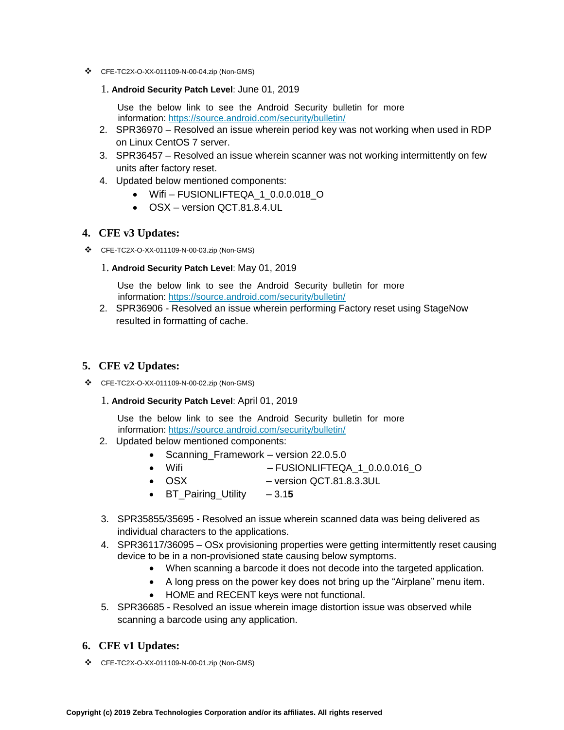- ❖ CFE-TC2X-O-XX-011109-N-00-04.zip (Non-GMS)
	- 1. **Android Security Patch Level**: June 01, 2019

Use the below link to see the Android Security bulletin for more information:<https://source.android.com/security/bulletin/>

- 2. SPR36970 Resolved an issue wherein period key was not working when used in RDP on Linux CentOS 7 server.
- 3. SPR36457 Resolved an issue wherein scanner was not working intermittently on few units after factory reset.
- 4. Updated below mentioned components:
	- Wifi-FUSIONLIFTEQA 1 0.0.0.018 O
	- OSX version QCT.81.8.4.UL

#### **4. CFE v3 Updates:**

❖ CFE-TC2X-O-XX-011109-N-00-03.zip (Non-GMS)

#### 1. **Android Security Patch Level**: May 01, 2019

Use the below link to see the Android Security bulletin for more information:<https://source.android.com/security/bulletin/>

2. SPR36906 - Resolved an issue wherein performing Factory reset using StageNow resulted in formatting of cache.

#### **5. CFE v2 Updates:**

- ❖ CFE-TC2X-O-XX-011109-N-00-02.zip (Non-GMS)
	- 1. **Android Security Patch Level**: April 01, 2019

Use the below link to see the Android Security bulletin for more information:<https://source.android.com/security/bulletin/>

- 2. Updated below mentioned components:
	- Scanning Framework version 22.0.5.0
	- Wifi FUSIONLIFTEQA\_1\_0.0.0.016\_O
	- OSX version QCT.81.8.3.3UL
	- BT Pairing Utility 3.15
- 3. SPR35855/35695 Resolved an issue wherein scanned data was being delivered as individual characters to the applications.
- 4. SPR36117/36095 OSx provisioning properties were getting intermittently reset causing device to be in a non-provisioned state causing below symptoms.
	- When scanning a barcode it does not decode into [the](https://confluence.zebra.com/pages/createpage.action?spaceKey=LIF&title=customer+apps+or+DWDEMO) targeted application.
	- A long press on the power key does not bring up the "Airplane" menu item.
	- HOME and RECENT keys were not functional.
- 5. SPR36685 Resolved an issue wherein image distortion issue was observed while scanning a barcode using any application.

#### **6. CFE v1 Updates:**

❖ CFE-TC2X-O-XX-011109-N-00-01.zip (Non-GMS)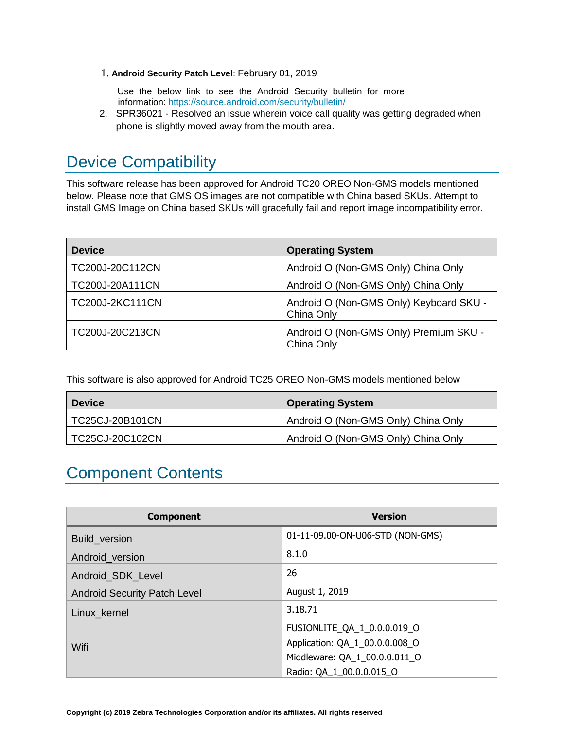1. **Android Security Patch Level**: February 01, 2019

Use the below link to see the Android Security bulletin for more information:<https://source.android.com/security/bulletin/>

2. SPR36021 - Resolved an issue wherein voice call quality was getting degraded when phone is slightly moved away from the mouth area.

## <span id="page-3-0"></span>Device Compatibility

This software release has been approved for Android TC20 OREO Non-GMS models mentioned below. Please note that GMS OS images are not compatible with China based SKUs. Attempt to install GMS Image on China based SKUs will gracefully fail and report image incompatibility error.

| <b>Device</b>          | <b>Operating System</b>                               |
|------------------------|-------------------------------------------------------|
| TC200J-20C112CN        | Android O (Non-GMS Only) China Only                   |
| TC200J-20A111CN        | Android O (Non-GMS Only) China Only                   |
| <b>TC200J-2KC111CN</b> | Android O (Non-GMS Only) Keyboard SKU -<br>China Only |
| TC200J-20C213CN        | Android O (Non-GMS Only) Premium SKU -<br>China Only  |

<span id="page-3-1"></span>This software is also approved for Android TC25 OREO Non-GMS models mentioned below

| <b>Device</b>   | <b>Operating System</b>             |
|-----------------|-------------------------------------|
| TC25CJ-20B101CN | Android O (Non-GMS Only) China Only |
| TC25CJ-20C102CN | Android O (Non-GMS Only) China Only |

## Component Contents

| <b>Component</b>                    | <b>Version</b>                   |
|-------------------------------------|----------------------------------|
| <b>Build version</b>                | 01-11-09.00-ON-U06-STD (NON-GMS) |
| Android version                     | 8.1.0                            |
| Android SDK Level                   | 26                               |
| <b>Android Security Patch Level</b> | August 1, 2019                   |
| Linux kernel                        | 3.18.71                          |
| Wifi                                | FUSIONLITE_QA_1_0.0.0.019_O      |
|                                     | Application: QA_1_00.0.0.008_O   |
|                                     | Middleware: QA_1_00.0.0.011_O    |
|                                     | Radio: QA_1_00.0.0.015_O         |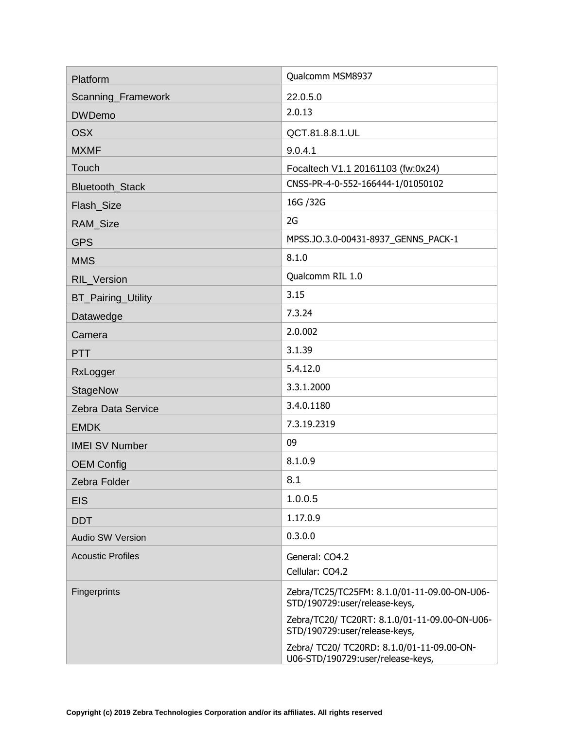| Platform                  | Qualcomm MSM8937                                                                |
|---------------------------|---------------------------------------------------------------------------------|
| Scanning_Framework        | 22.0.5.0                                                                        |
| <b>DWDemo</b>             | 2.0.13                                                                          |
| <b>OSX</b>                | QCT.81.8.8.1.UL                                                                 |
| <b>MXMF</b>               | 9.0.4.1                                                                         |
| Touch                     | Focaltech V1.1 20161103 (fw:0x24)                                               |
| Bluetooth_Stack           | CNSS-PR-4-0-552-166444-1/01050102                                               |
| Flash_Size                | 16G / 32G                                                                       |
| RAM_Size                  | 2G                                                                              |
| <b>GPS</b>                | MPSS.JO.3.0-00431-8937_GENNS_PACK-1                                             |
| <b>MMS</b>                | 8.1.0                                                                           |
| <b>RIL Version</b>        | Qualcomm RIL 1.0                                                                |
| <b>BT_Pairing_Utility</b> | 3.15                                                                            |
| Datawedge                 | 7.3.24                                                                          |
| Camera                    | 2.0.002                                                                         |
| <b>PTT</b>                | 3.1.39                                                                          |
| RxLogger                  | 5.4.12.0                                                                        |
| StageNow                  | 3.3.1.2000                                                                      |
| Zebra Data Service        | 3.4.0.1180                                                                      |
| <b>EMDK</b>               | 7.3.19.2319                                                                     |
| <b>IMEI SV Number</b>     | 09                                                                              |
| <b>OEM Config</b>         | 8.1.0.9                                                                         |
| Zebra Folder              | 8.1                                                                             |
| <b>EIS</b>                | 1.0.0.5                                                                         |
| <b>DDT</b>                | 1.17.0.9                                                                        |
| <b>Audio SW Version</b>   | 0.3.0.0                                                                         |
| <b>Acoustic Profiles</b>  | General: CO4.2                                                                  |
|                           | Cellular: CO4.2                                                                 |
| Fingerprints              | Zebra/TC25/TC25FM: 8.1.0/01-11-09.00-ON-U06-<br>STD/190729:user/release-keys,   |
|                           | Zebra/TC20/ TC20RT: 8.1.0/01-11-09.00-ON-U06-<br>STD/190729:user/release-keys,  |
|                           | Zebra/ TC20/ TC20RD: 8.1.0/01-11-09.00-ON-<br>U06-STD/190729:user/release-keys, |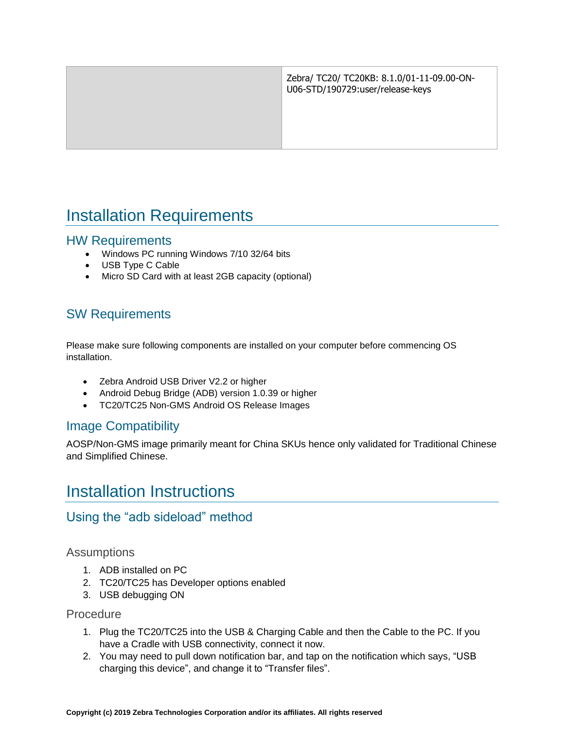| Zebra/ TC20/ TC20KB: 8.1.0/01-11-09.00-ON-<br>U06-STD/190729:user/release-keys |
|--------------------------------------------------------------------------------|
|                                                                                |
|                                                                                |

## <span id="page-5-0"></span>Installation Requirements

#### HW Requirements

- Windows PC running Windows 7/10 32/64 bits
- USB Type C Cable
- Micro SD Card with at least 2GB capacity (optional)

### SW Requirements

Please make sure following components are installed on your computer before commencing OS installation.

- Zebra Android USB Driver V2.2 or higher
- Android Debug Bridge (ADB) version 1.0.39 or higher
- TC20/TC25 Non-GMS Android OS Release Images

### Image Compatibility

<span id="page-5-1"></span>AOSP/Non-GMS image primarily meant for China SKUs hence only validated for Traditional Chinese and Simplified Chinese.

## Installation Instructions

### Using the "adb sideload" method

#### **Assumptions**

- 1. ADB installed on PC
- 2. TC20/TC25 has Developer options enabled
- 3. USB debugging ON

#### Procedure

- 1. Plug the TC20/TC25 into the USB & Charging Cable and then the Cable to the PC. If you have a Cradle with USB connectivity, connect it now.
- 2. You may need to pull down notification bar, and tap on the notification which says, "USB charging this device", and change it to "Transfer files".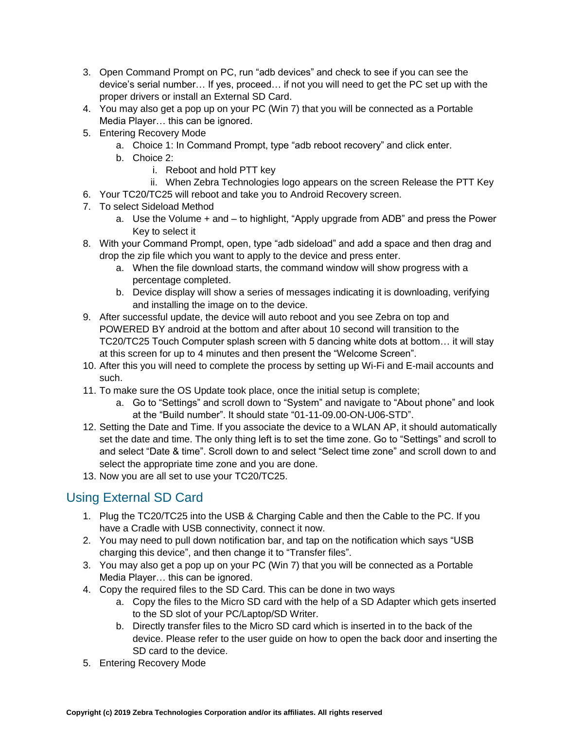- 3. Open Command Prompt on PC, run "adb devices" and check to see if you can see the device's serial number… If yes, proceed… if not you will need to get the PC set up with the proper drivers or install an External SD Card.
- 4. You may also get a pop up on your PC (Win 7) that you will be connected as a Portable Media Player… this can be ignored.
- 5. Entering Recovery Mode
	- a. Choice 1: In Command Prompt, type "adb reboot recovery" and click enter.
	- b. Choice 2:
		- i. Reboot and hold PTT key
	- ii. When Zebra Technologies logo appears on the screen Release the PTT Key
- 6. Your TC20/TC25 will reboot and take you to Android Recovery screen.
- 7. To select Sideload Method
	- a. Use the Volume + and to highlight, "Apply upgrade from ADB" and press the Power Key to select it
- 8. With your Command Prompt, open, type "adb sideload" and add a space and then drag and drop the zip file which you want to apply to the device and press enter.
	- a. When the file download starts, the command window will show progress with a percentage completed.
	- b. Device display will show a series of messages indicating it is downloading, verifying and installing the image on to the device.
- 9. After successful update, the device will auto reboot and you see Zebra on top and POWERED BY android at the bottom and after about 10 second will transition to the TC20/TC25 Touch Computer splash screen with 5 dancing white dots at bottom… it will stay at this screen for up to 4 minutes and then present the "Welcome Screen".
- 10. After this you will need to complete the process by setting up Wi-Fi and E-mail accounts and such.
- 11. To make sure the OS Update took place, once the initial setup is complete;
	- a. Go to "Settings" and scroll down to "System" and navigate to "About phone" and look at the "Build number". It should state "01-11-09.00-ON-U06-STD".
- 12. Setting the Date and Time. If you associate the device to a WLAN AP, it should automatically set the date and time. The only thing left is to set the time zone. Go to "Settings" and scroll to and select "Date & time". Scroll down to and select "Select time zone" and scroll down to and select the appropriate time zone and you are done.
- 13. Now you are all set to use your TC20/TC25.

## Using External SD Card

- 1. Plug the TC20/TC25 into the USB & Charging Cable and then the Cable to the PC. If you have a Cradle with USB connectivity, connect it now.
- 2. You may need to pull down notification bar, and tap on the notification which says "USB charging this device", and then change it to "Transfer files".
- 3. You may also get a pop up on your PC (Win 7) that you will be connected as a Portable Media Player… this can be ignored.
- 4. Copy the required files to the SD Card. This can be done in two ways
	- a. Copy the files to the Micro SD card with the help of a SD Adapter which gets inserted to the SD slot of your PC/Laptop/SD Writer.
	- b. Directly transfer files to the Micro SD card which is inserted in to the back of the device. Please refer to the user guide on how to open the back door and inserting the SD card to the device.
- 5. Entering Recovery Mode